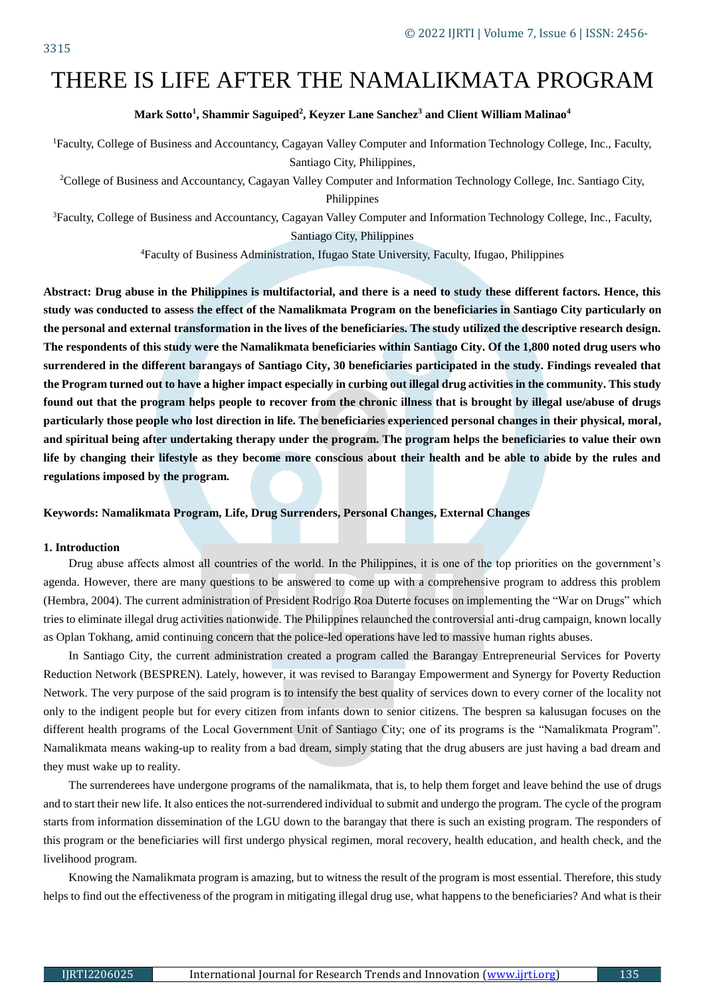# THERE IS LIFE AFTER THE NAMALIKMATA PROGRAM

## **Mark Sotto<sup>1</sup> , Shammir Saguiped<sup>2</sup> , Keyzer Lane Sanchez<sup>3</sup> and Client William Malinao<sup>4</sup>**

<sup>1</sup>Faculty, College of Business and Accountancy, Cagayan Valley Computer and Information Technology College, Inc., Faculty, Santiago City, Philippines,

<sup>2</sup>College of Business and Accountancy, Cagayan Valley Computer and Information Technology College, Inc. Santiago City, Philippines

<sup>3</sup>Faculty, College of Business and Accountancy, Cagayan Valley Computer and Information Technology College, Inc., Faculty, Santiago City, Philippines

<sup>4</sup>Faculty of Business Administration, Ifugao State University, Faculty, Ifugao, Philippines

**Abstract: Drug abuse in the Philippines is multifactorial, and there is a need to study these different factors. Hence, this study was conducted to assess the effect of the Namalikmata Program on the beneficiaries in Santiago City particularly on the personal and external transformation in the lives of the beneficiaries. The study utilized the descriptive research design. The respondents of this study were the Namalikmata beneficiaries within Santiago City. Of the 1,800 noted drug users who surrendered in the different barangays of Santiago City, 30 beneficiaries participated in the study. Findings revealed that the Program turned out to have a higher impact especially in curbing out illegal drug activities in the community. This study found out that the program helps people to recover from the chronic illness that is brought by illegal use/abuse of drugs particularly those people who lost direction in life. The beneficiaries experienced personal changes in their physical, moral, and spiritual being after undertaking therapy under the program. The program helps the beneficiaries to value their own life by changing their lifestyle as they become more conscious about their health and be able to abide by the rules and regulations imposed by the program.** 

# **Keywords: Namalikmata Program, Life, Drug Surrenders, Personal Changes, External Changes**

#### **1. Introduction**

Drug abuse affects almost all countries of the world. In the Philippines, it is one of the top priorities on the government's agenda. However, there are many questions to be answered to come up with a comprehensive program to address this problem (Hembra, 2004). The current administration of President Rodrigo Roa Duterte focuses on implementing the "War on Drugs" which tries to eliminate illegal drug activities nationwide. The Philippines relaunched the controversial anti-drug campaign, known locally as Oplan Tokhang, amid continuing concern that the police-led operations have led to massive human rights abuses.

In Santiago City, the current administration created a program called the Barangay Entrepreneurial Services for Poverty Reduction Network (BESPREN). Lately, however, it was revised to Barangay Empowerment and Synergy for Poverty Reduction Network. The very purpose of the said program is to intensify the best quality of services down to every corner of the locality not only to the indigent people but for every citizen from infants down to senior citizens. The bespren sa kalusugan focuses on the different health programs of the Local Government Unit of Santiago City; one of its programs is the "Namalikmata Program". Namalikmata means waking-up to reality from a bad dream, simply stating that the drug abusers are just having a bad dream and they must wake up to reality.

The surrenderees have undergone programs of the namalikmata, that is, to help them forget and leave behind the use of drugs and to start their new life. It also entices the not-surrendered individual to submit and undergo the program. The cycle of the program starts from information dissemination of the LGU down to the barangay that there is such an existing program. The responders of this program or the beneficiaries will first undergo physical regimen, moral recovery, health education, and health check, and the livelihood program.

Knowing the Namalikmata program is amazing, but to witness the result of the program is most essential. Therefore, this study helps to find out the effectiveness of the program in mitigating illegal drug use, what happens to the beneficiaries? And what is their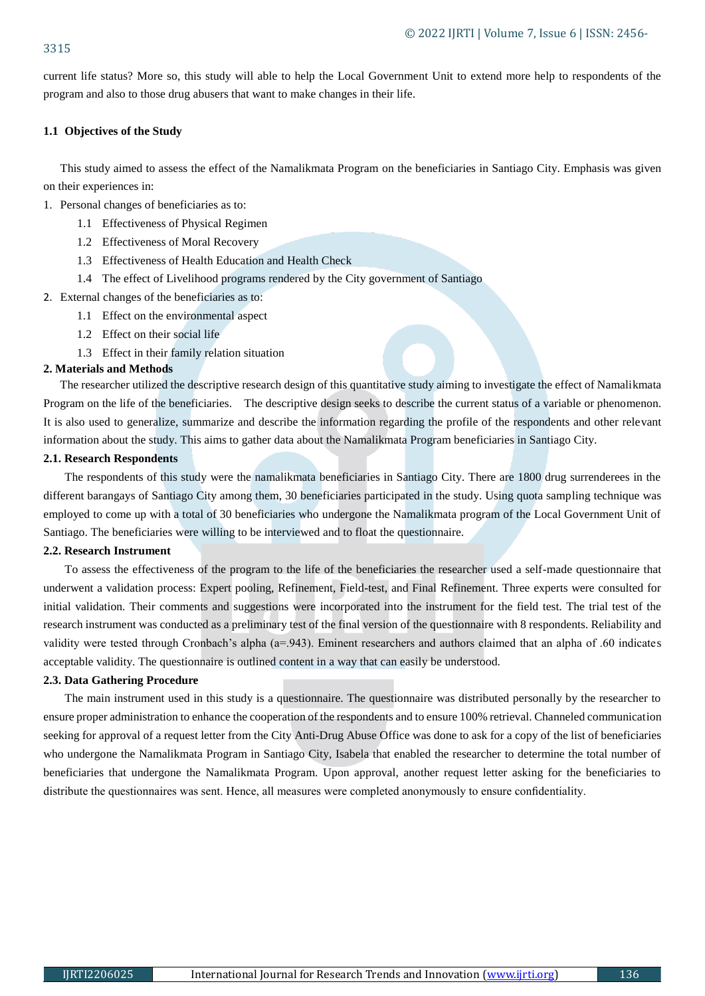current life status? More so, this study will able to help the Local Government Unit to extend more help to respondents of the program and also to those drug abusers that want to make changes in their life.

# **1.1 Objectives of the Study**

This study aimed to assess the effect of the Namalikmata Program on the beneficiaries in Santiago City. Emphasis was given on their experiences in:

- 1. Personal changes of beneficiaries as to:
	- 1.1 Effectiveness of Physical Regimen
	- 1.2 Effectiveness of Moral Recovery
	- 1.3 Effectiveness of Health Education and Health Check
	- 1.4 The effect of Livelihood programs rendered by the City government of Santiago
- 2. External changes of the beneficiaries as to:
	- 1.1 Effect on the environmental aspect
	- 1.2 Effect on their social life
	- 1.3 Effect in their family relation situation

### **2. Materials and Methods**

The researcher utilized the descriptive research design of this quantitative study aiming to investigate the effect of Namalikmata Program on the life of the beneficiaries. The descriptive design seeks to describe the current status of a variable or phenomenon. It is also used to generalize, summarize and describe the information regarding the profile of the respondents and other relevant information about the study. This aims to gather data about the Namalikmata Program beneficiaries in Santiago City.

# **2.1. Research Respondents**

The respondents of this study were the namalikmata beneficiaries in Santiago City. There are 1800 drug surrenderees in the different barangays of Santiago City among them, 30 beneficiaries participated in the study. Using quota sampling technique was employed to come up with a total of 30 beneficiaries who undergone the Namalikmata program of the Local Government Unit of Santiago. The beneficiaries were willing to be interviewed and to float the questionnaire.

## **2.2. Research Instrument**

To assess the effectiveness of the program to the life of the beneficiaries the researcher used a self-made questionnaire that underwent a validation process: Expert pooling, Refinement, Field-test, and Final Refinement. Three experts were consulted for initial validation. Their comments and suggestions were incorporated into the instrument for the field test. The trial test of the research instrument was conducted as a preliminary test of the final version of the questionnaire with 8 respondents. Reliability and validity were tested through Cronbach's alpha (a=.943). Eminent researchers and authors claimed that an alpha of .60 indicates acceptable validity. The questionnaire is outlined content in a way that can easily be understood.

#### **2.3. Data Gathering Procedure**

The main instrument used in this study is a questionnaire. The questionnaire was distributed personally by the researcher to ensure proper administration to enhance the cooperation of the respondents and to ensure 100% retrieval. Channeled communication seeking for approval of a request letter from the City Anti-Drug Abuse Office was done to ask for a copy of the list of beneficiaries who undergone the Namalikmata Program in Santiago City, Isabela that enabled the researcher to determine the total number of beneficiaries that undergone the Namalikmata Program. Upon approval, another request letter asking for the beneficiaries to distribute the questionnaires was sent. Hence, all measures were completed anonymously to ensure confidentiality.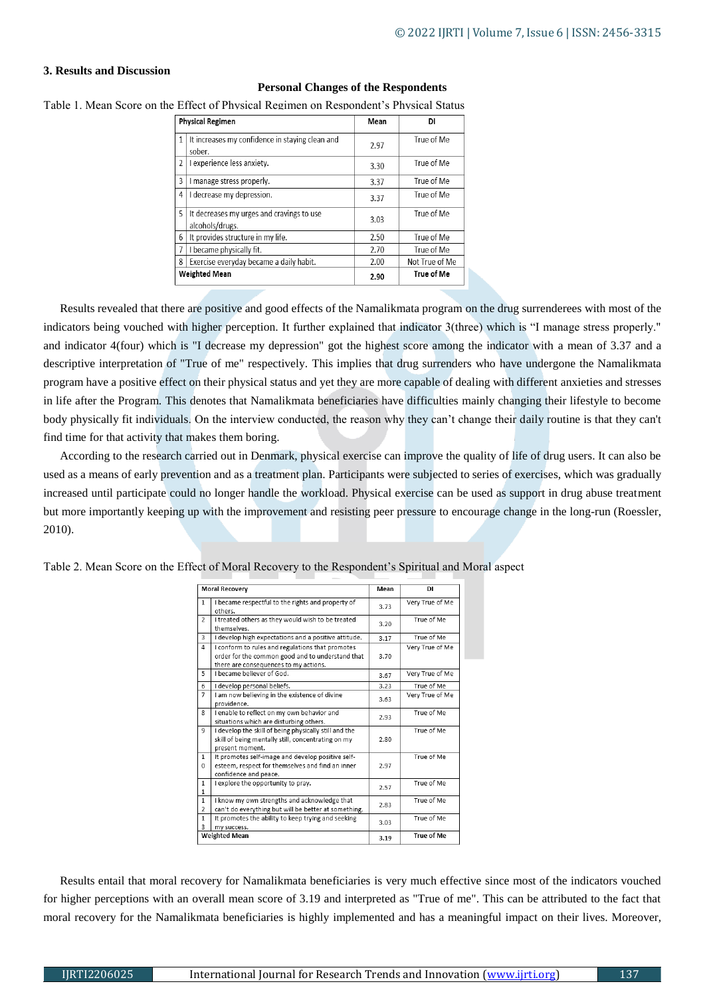# **3. Results and Discussion**

| <b>Personal Changes of the Respondents</b>                                            |
|---------------------------------------------------------------------------------------|
| Table 1. Mean Score on the Effect of Physical Regimen on Respondent's Physical Status |

|                | <b>Physical Regimen</b>                                      | Mean | DI             |
|----------------|--------------------------------------------------------------|------|----------------|
| 1              | It increases my confidence in staying clean and<br>sober.    | 2.97 | True of Me     |
| $\overline{2}$ | I experience less anxiety.                                   | 3.30 | True of Me     |
| 3              | I manage stress properly.                                    | 3.37 | True of Me     |
| 4              | I decrease my depression.                                    | 3.37 | True of Me     |
| 5              | It decreases my urges and cravings to use<br>alcohols/drugs. | 3.03 | True of Me     |
| 6              | It provides structure in my life.                            | 2.50 | True of Me     |
| 7              | I became physically fit.                                     | 2.70 | True of Me     |
| 8              | Exercise everyday became a daily habit.                      | 2.00 | Not True of Me |
|                | <b>Weighted Mean</b>                                         | 2.90 | True of Me     |

Results revealed that there are positive and good effects of the Namalikmata program on the drug surrenderees with most of the indicators being vouched with higher perception. It further explained that indicator 3(three) which is "I manage stress properly." and indicator 4(four) which is "I decrease my depression" got the highest score among the indicator with a mean of 3.37 and a descriptive interpretation of "True of me" respectively. This implies that drug surrenders who have undergone the Namalikmata program have a positive effect on their physical status and yet they are more capable of dealing with different anxieties and stresses in life after the Program. This denotes that Namalikmata beneficiaries have difficulties mainly changing their lifestyle to become body physically fit individuals. On the interview conducted, the reason why they can't change their daily routine is that they can't find time for that activity that makes them boring.

According to the research carried out in Denmark, physical exercise can improve the quality of life of drug users. It can also be used as a means of early prevention and as a treatment plan. Participants were subjected to series of exercises, which was gradually increased until participate could no longer handle the workload. Physical exercise can be used as support in drug abuse treatment but more importantly keeping up with the improvement and resisting peer pressure to encourage change in the long-run (Roessler, 2010).

|                                | <b>Moral Recovery</b>                                                                                                                         | Mean | <b>DI</b>       |
|--------------------------------|-----------------------------------------------------------------------------------------------------------------------------------------------|------|-----------------|
| 1                              | I became respectful to the rights and property of<br>others.                                                                                  | 3.73 | Very True of Me |
| $\overline{a}$                 | I treated others as they would wish to be treated<br>themselves.                                                                              | 3.20 | True of Me      |
| 3                              | I develop high expectations and a positive attitude.                                                                                          | 3.17 | True of Me      |
| $\Delta$                       | I conform to rules and regulations that promotes<br>order for the common good and to understand that<br>there are consequences to my actions. | 3.70 | Very True of Me |
| 5                              | I became believer of God.                                                                                                                     | 3.67 | Very True of Me |
| 6                              | I develop personal beliefs.                                                                                                                   | 3.23 | True of Me      |
| $\overline{7}$                 | I am now believing in the existence of divine<br>providence.                                                                                  | 3.63 | Very True of Me |
| 8                              | I enable to reflect on my own behavior and<br>situations which are disturbing others.                                                         | 2.93 | True of Me      |
| 9                              | I develop the skill of being physically still and the<br>skill of being mentally still, concentrating on my<br>present moment.                | 2.80 | True of Me      |
| $\mathbf{1}$<br>$\Omega$       | It promotes self-image and develop positive self-<br>esteem, respect for themselves and find an inner<br>confidence and peace.                | 2.97 | True of Me      |
| $\mathbf{1}$<br>1              | I explore the opportunity to pray.                                                                                                            | 2.57 | True of Me      |
| $\mathbf{1}$<br>$\overline{2}$ | I know my own strengths and acknowledge that<br>can't do everything but will be better at something.                                          | 2.83 | True of Me      |
| $\mathbf{1}$<br>3              | It promotes the ability to keep trying and seeking<br>my success.                                                                             | 3.03 | True of Me      |
|                                | <b>Weighted Mean</b>                                                                                                                          | 3.19 | True of Me      |

Table 2. Mean Score on the Effect of Moral Recovery to the Respondent's Spiritual and Moral aspect

Results entail that moral recovery for Namalikmata beneficiaries is very much effective since most of the indicators vouched for higher perceptions with an overall mean score of 3.19 and interpreted as "True of me". This can be attributed to the fact that moral recovery for the Namalikmata beneficiaries is highly implemented and has a meaningful impact on their lives. Moreover,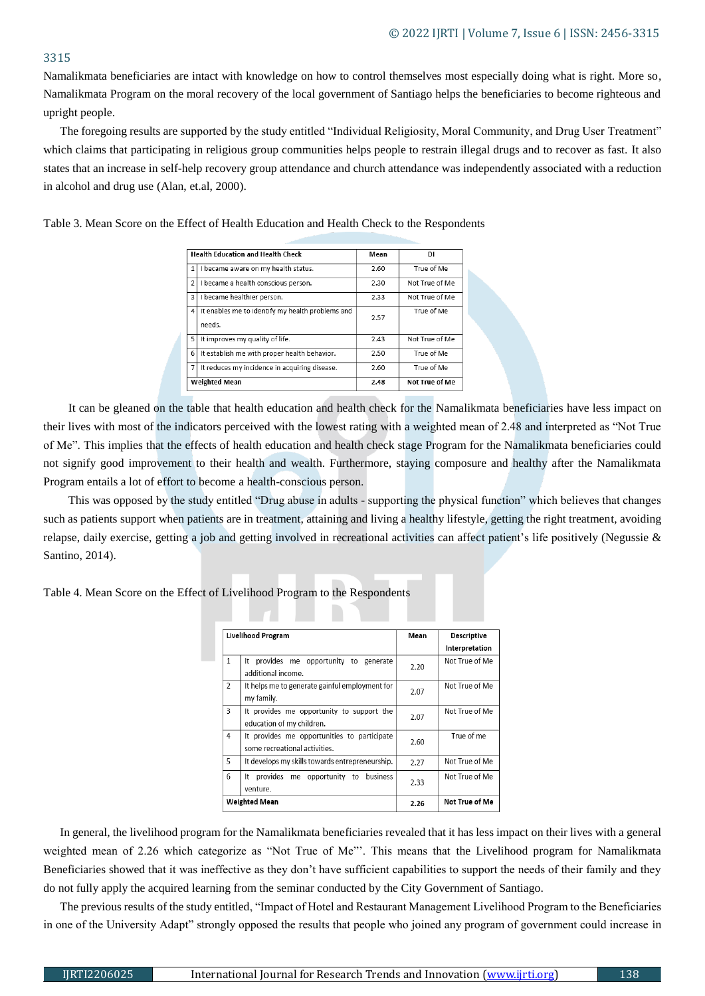# 3315

Namalikmata beneficiaries are intact with knowledge on how to control themselves most especially doing what is right. More so, Namalikmata Program on the moral recovery of the local government of Santiago helps the beneficiaries to become righteous and upright people.

The foregoing results are supported by the study entitled "Individual Religiosity, Moral Community, and Drug User Treatment" which claims that participating in religious group communities helps people to restrain illegal drugs and to recover as fast. It also states that an increase in self-help recovery group attendance and church attendance was independently associated with a reduction in alcohol and drug use (Alan, et.al, 2000).

|  |  |  |  |  |  |  |  |  |  |  |  | Table 3. Mean Score on the Effect of Health Education and Health Check to the Respondents |
|--|--|--|--|--|--|--|--|--|--|--|--|-------------------------------------------------------------------------------------------|
|--|--|--|--|--|--|--|--|--|--|--|--|-------------------------------------------------------------------------------------------|

|                | <b>Health Education and Health Check</b>                   | Mean | DI             |
|----------------|------------------------------------------------------------|------|----------------|
| 1              | I became aware on my health status.                        | 2.60 | True of Me     |
| $\overline{2}$ | I became a health conscious person.                        | 2.30 | Not True of Me |
| 3              | I became healthier person.                                 | 2.33 | Not True of Me |
| 4              | It enables me to identify my health problems and<br>needs. | 2.57 | True of Me     |
| 5              | It improves my quality of life.                            | 2.43 | Not True of Me |
| 6              | It establish me with proper health behavior.               | 2.50 | True of Me     |
| 7              | It reduces my incidence in acquiring disease.              | 2.60 | True of Me     |
|                | <b>Weighted Mean</b>                                       | 2.48 | Not True of Me |

It can be gleaned on the table that health education and health check for the Namalikmata beneficiaries have less impact on their lives with most of the indicators perceived with the lowest rating with a weighted mean of 2.48 and interpreted as "Not True of Me". This implies that the effects of health education and health check stage Program for the Namalikmata beneficiaries could not signify good improvement to their health and wealth. Furthermore, staying composure and healthy after the Namalikmata Program entails a lot of effort to become a health-conscious person.

This was opposed by the study entitled "Drug abuse in adults - supporting the physical function" which believes that changes such as patients support when patients are in treatment, attaining and living a healthy lifestyle, getting the right treatment, avoiding relapse, daily exercise, getting a job and getting involved in recreational activities can affect patient's life positively (Negussie & Santino, 2014).

Table 4. Mean Score on the Effect of Livelihood Program to the Respondents

|                          | <b>Livelihood Program</b>                                                    | Mean | <b>Descriptive</b> |
|--------------------------|------------------------------------------------------------------------------|------|--------------------|
|                          |                                                                              |      | Interpretation     |
| 1                        | provides me opportunity to generate<br>It<br>additional income.              | 2.20 | Not True of Me     |
| $\overline{\phantom{a}}$ | It helps me to generate gainful employment for<br>my family.                 | 2.07 | Not True of Me     |
| 3                        | It provides me opportunity to support the<br>education of my children.       | 2.07 | Not True of Me     |
| 4                        | It provides me opportunities to participate<br>some recreational activities. | 2.60 | True of me         |
| 5                        | It develops my skills towards entrepreneurship.                              | 2.27 | Not True of Me     |
| 6                        | provides<br>me opportunity to<br>business<br>It<br>venture.                  | 2.33 | Not True of Me     |
|                          | Weighted Mean                                                                | 2.26 | Not True of Me     |

In general, the livelihood program for the Namalikmata beneficiaries revealed that it has less impact on their lives with a general weighted mean of 2.26 which categorize as "Not True of Me"'. This means that the Livelihood program for Namalikmata Beneficiaries showed that it was ineffective as they don't have sufficient capabilities to support the needs of their family and they do not fully apply the acquired learning from the seminar conducted by the City Government of Santiago.

The previous results of the study entitled, "Impact of Hotel and Restaurant Management Livelihood Program to the Beneficiaries in one of the University Adapt" strongly opposed the results that people who joined any program of government could increase in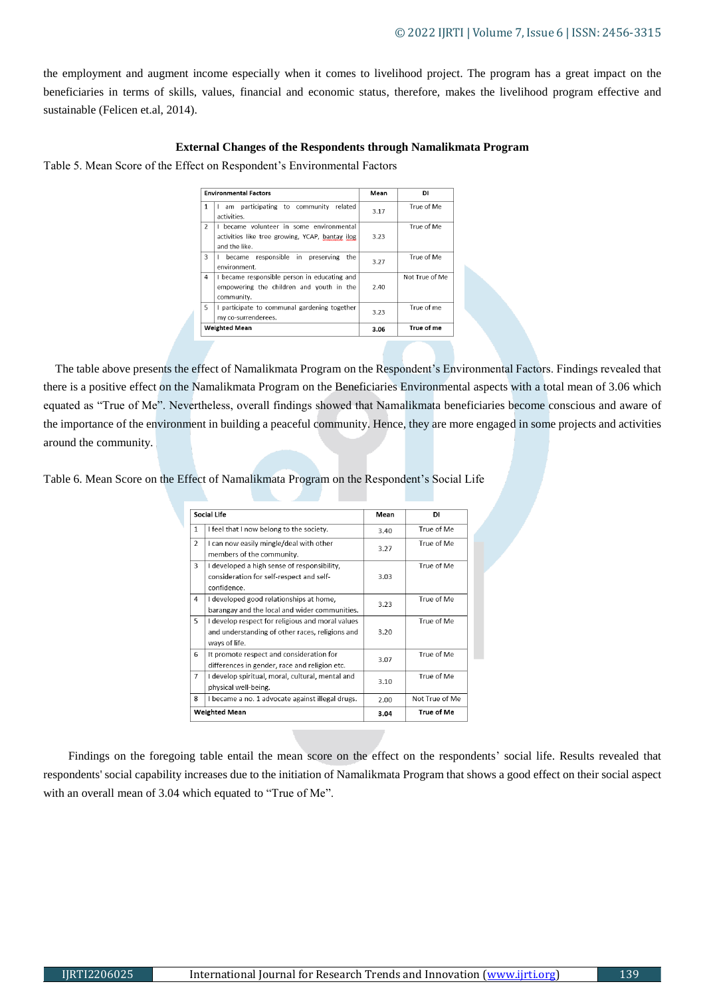the employment and augment income especially when it comes to livelihood project. The program has a great impact on the beneficiaries in terms of skills, values, financial and economic status, therefore, makes the livelihood program effective and sustainable (Felicen et.al, 2014).

# **External Changes of the Respondents through Namalikmata Program**

Table 5. Mean Score of the Effect on Respondent's Environmental Factors

|                          | <b>Environmental Factors</b>                                                                                 | Mean | DI             |
|--------------------------|--------------------------------------------------------------------------------------------------------------|------|----------------|
| 1                        | am participating to community<br>related<br>activities.                                                      | 3.17 | True of Me     |
| $\overline{\phantom{a}}$ | I became volunteer in some environmental<br>activities like tree growing. YCAP, bantay ilog<br>and the like. | 3.23 | True of Me     |
| 3                        | became responsible in preserving<br>the<br>environment.                                                      | 3.27 | True of Me     |
| 4                        | I became responsible person in educating and<br>empowering the children and youth in the<br>community.       | 2.40 | Not True of Me |
| 5                        | I participate to communal gardening together<br>my co-surrenderees.                                          | 3.23 | True of me     |
|                          | <b>Weighted Mean</b>                                                                                         | 3.06 | True of me     |

The table above presents the effect of Namalikmata Program on the Respondent's Environmental Factors. Findings revealed that there is a positive effect on the Namalikmata Program on the Beneficiaries Environmental aspects with a total mean of 3.06 which equated as "True of Me". Nevertheless, overall findings showed that Namalikmata beneficiaries become conscious and aware of the importance of the environment in building a peaceful community. Hence, they are more engaged in some projects and activities around the community.

Table 6. Mean Score on the Effect of Namalikmata Program on the Respondent's Social Life

|                          | Social Life                                                                                                          | Mean | DI             |
|--------------------------|----------------------------------------------------------------------------------------------------------------------|------|----------------|
| $\mathbf{1}$             | I feel that I now belong to the society.                                                                             | 3.40 | True of Me     |
| $\overline{\phantom{a}}$ | I can now easily mingle/deal with other<br>members of the community.                                                 | 3.27 | True of Me     |
| $\mathbf{a}$             | I developed a high sense of responsibility,<br>consideration for self-respect and self-<br>confidence.               | 3.03 | True of Me     |
| 4                        | I developed good relationships at home,<br>barangay and the local and wider communities.                             | 3.23 | True of Me     |
| 5                        | I develop respect for religious and moral values<br>and understanding of other races, religions and<br>ways of life. | 3.20 | True of Me     |
| 6                        | It promote respect and consideration for<br>differences in gender, race and religion etc.                            | 3.07 | True of Me     |
| $\overline{7}$           | I develop spiritual, moral, cultural, mental and<br>physical well-being.                                             | 3.10 | True of Me     |
| 8                        | I became a no. 1 advocate against illegal drugs.                                                                     | 2.00 | Not True of Me |
|                          | <b>Weighted Mean</b>                                                                                                 | 3.04 | True of Me     |

Findings on the foregoing table entail the mean score on the effect on the respondents' social life. Results revealed that respondents' social capability increases due to the initiation of Namalikmata Program that shows a good effect on their social aspect with an overall mean of 3.04 which equated to "True of Me".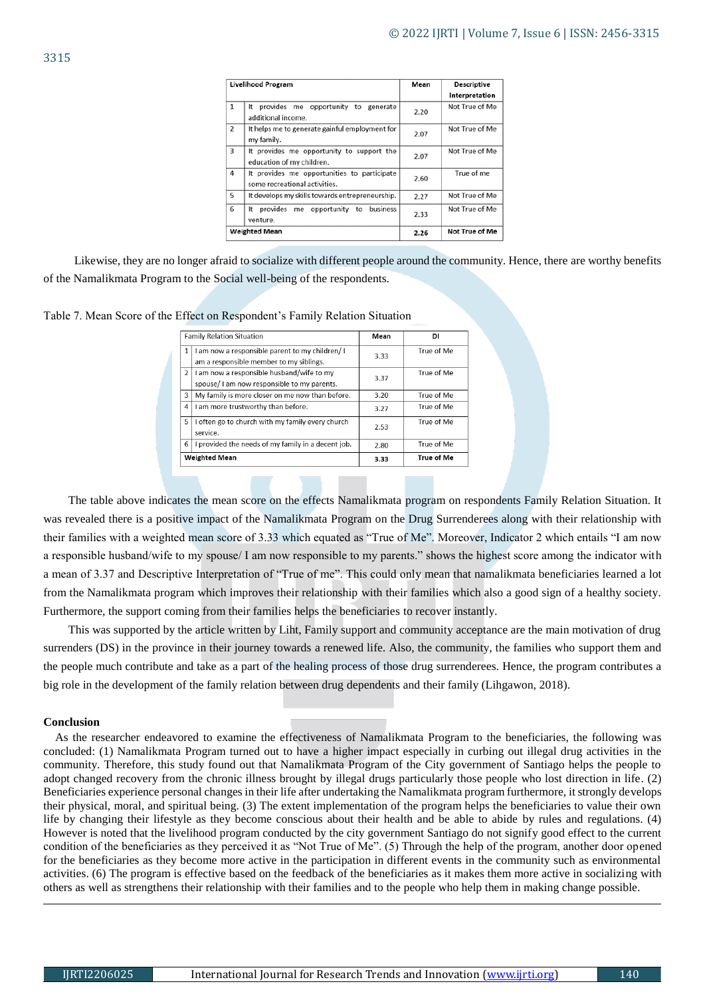|                | <b>Livelihood Program</b>                                                    | Mean | <b>Descriptive</b> |
|----------------|------------------------------------------------------------------------------|------|--------------------|
|                |                                                                              |      | Interpretation     |
| 1              | provides me opportunity to<br>It<br>generate<br>additional income.           | 2.20 | Not True of Me     |
| $\overline{2}$ | It helps me to generate gainful employment for<br>my family.                 | 2.07 | Not True of Me     |
| 3              | It provides me opportunity to support the<br>education of my children.       | 2.07 | Not True of Me     |
| 4              | It provides me opportunities to participate<br>some recreational activities. | 2.60 | True of me         |
| 5              | It develops my skills towards entrepreneurship.                              | 2.27 | Not True of Me     |
| 6              | provides<br>business<br>opportunity<br>It<br>me<br>to<br>venture.            | 2.33 | Not True of Me     |
|                | <b>Weighted Mean</b>                                                         | 2.26 | Not True of Me     |

Likewise, they are no longer afraid to socialize with different people around the community. Hence, there are worthy benefits of the Namalikmata Program to the Social well-being of the respondents.

|  |  | Table 7. Mean Score of the Effect on Respondent's Family Relation Situation |
|--|--|-----------------------------------------------------------------------------|
|  |  |                                                                             |

|                | <b>Family Relation Situation</b>                                                          | Mean | DI         |
|----------------|-------------------------------------------------------------------------------------------|------|------------|
| 1              | I am now a responsible parent to my children/I<br>am a responsible member to my siblings. | 3.33 | True of Me |
| $\overline{2}$ | I am now a responsible husband/wife to my<br>spouse/I am now responsible to my parents.   | 3.37 | True of Me |
| 3              | My family is more closer on me now than before.                                           | 3.20 | True of Me |
| 4              | I am more trustworthy than before.                                                        | 3.27 | True of Me |
| 5              | I often go to church with my family every church<br>service.                              | 2.53 | True of Me |
| 6              | I provided the needs of my family in a decent job.                                        | 2.80 | True of Me |
|                | <b>Weighted Mean</b>                                                                      | 3.33 | True of Me |

The table above indicates the mean score on the effects Namalikmata program on respondents Family Relation Situation. It was revealed there is a positive impact of the Namalikmata Program on the Drug Surrenderees along with their relationship with their families with a weighted mean score of 3.33 which equated as "True of Me". Moreover, Indicator 2 which entails "I am now a responsible husband/wife to my spouse/ I am now responsible to my parents." shows the highest score among the indicator with a mean of 3.37 and Descriptive Interpretation of "True of me". This could only mean that namalikmata beneficiaries learned a lot from the Namalikmata program which improves their relationship with their families which also a good sign of a healthy society. Furthermore, the support coming from their families helps the beneficiaries to recover instantly.

This was supported by the article written by Liht, Family support and community acceptance are the main motivation of drug surrenders (DS) in the province in their journey towards a renewed life. Also, the community, the families who support them and the people much contribute and take as a part of the healing process of those drug surrenderees. Hence, the program contributes a big role in the development of the family relation between drug dependents and their family (Lihgawon, 2018).

## **Conclusion**

As the researcher endeavored to examine the effectiveness of Namalikmata Program to the beneficiaries, the following was concluded: (1) Namalikmata Program turned out to have a higher impact especially in curbing out illegal drug activities in the community. Therefore, this study found out that Namalikmata Program of the City government of Santiago helps the people to adopt changed recovery from the chronic illness brought by illegal drugs particularly those people who lost direction in life. (2) Beneficiaries experience personal changes in their life after undertaking the Namalikmata program furthermore, it strongly develops their physical, moral, and spiritual being. (3) The extent implementation of the program helps the beneficiaries to value their own life by changing their lifestyle as they become conscious about their health and be able to abide by rules and regulations. (4) However is noted that the livelihood program conducted by the city government Santiago do not signify good effect to the current condition of the beneficiaries as they perceived it as "Not True of Me". (5) Through the help of the program, another door opened for the beneficiaries as they become more active in the participation in different events in the community such as environmental activities. (6) The program is effective based on the feedback of the beneficiaries as it makes them more active in socializing with others as well as strengthens their relationship with their families and to the people who help them in making change possible.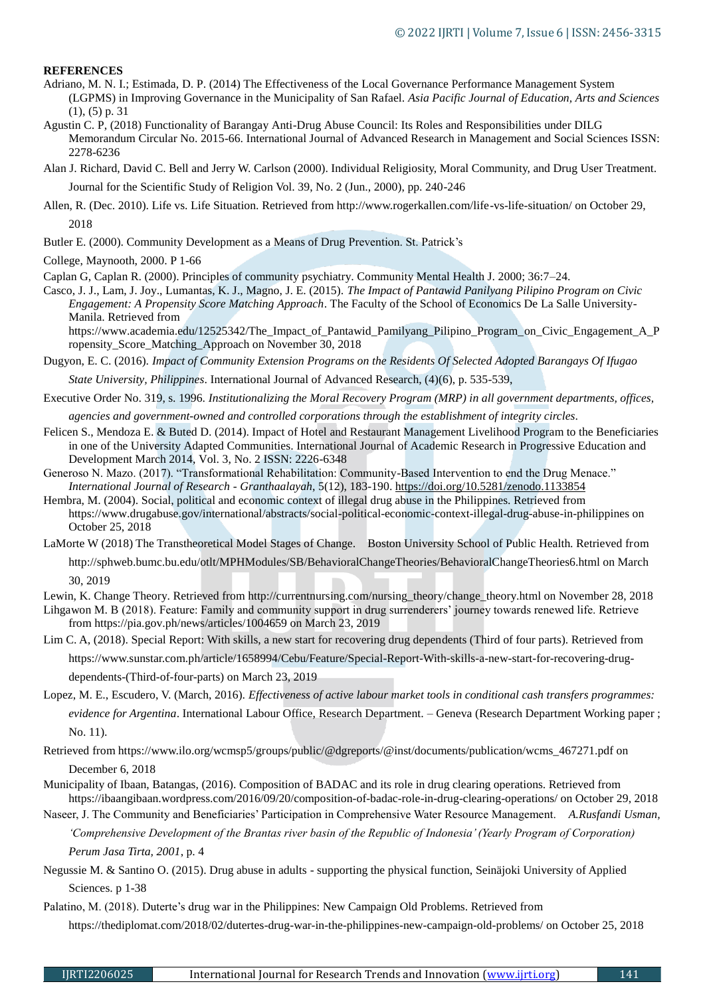# **REFERENCES**

- Adriano, M. N. I.; Estimada, D. P. (2014) The Effectiveness of the Local Governance Performance Management System (LGPMS) in Improving Governance in the Municipality of San Rafael. *Asia Pacific Journal of Education, Arts and Sciences* (1), (5) p. 31
- Agustin C. P, (2018) Functionality of Barangay Anti-Drug Abuse Council: Its Roles and Responsibilities under DILG Memorandum Circular No. 2015-66. International Journal of Advanced Research in Management and Social Sciences ISSN: 2278-6236
- Alan J. Richard, David C. Bell and Jerry W. Carlson (2000). Individual Religiosity, Moral Community, and Drug User Treatment. Journal for the Scientific Study of Religion Vol. 39, No. 2 (Jun., 2000), pp. 240-246
- Allen, R. (Dec. 2010). Life vs. Life Situation. Retrieved from http://www.rogerkallen.com/life-vs-life-situation/ on October 29, 2018
- Butler E. (2000). Community Development as a Means of Drug Prevention. St. Patrick's
- College, Maynooth, 2000. P 1-66

Caplan G, Caplan R. (2000). Principles of community psychiatry. Community Mental Health J. 2000; 36:7–24.

Casco, J. J., Lam, J. Joy., Lumantas, K. J., Magno, J. E. (2015). *The Impact of Pantawid Panilyang Pilipino Program on Civic Engagement: A Propensity Score Matching Approach*. The Faculty of the School of Economics De La Salle University-Manila. Retrieved from

https://www.academia.edu/12525342/The Impact of Pantawid Pamilyang Pilipino Program\_on\_Civic\_Engagement A\_P ropensity\_Score\_Matching\_Approach on November 30, 2018

Dugyon, E. C. (2016). *Impact of Community Extension Programs on the Residents Of Selected Adopted Barangays Of Ifugao State University, Philippines*. International Journal of Advanced Research, (4)(6), p. 535-539,

- Executive Order No. 319, s. 1996. *Institutionalizing the Moral Recovery Program (MRP) in all government departments, offices, agencies and government-owned and controlled corporations through the establishment of integrity circles*.
- Felicen S., Mendoza E. & Buted D. (2014). Impact of Hotel and Restaurant Management Livelihood Program to the Beneficiaries in one of the University Adapted Communities. International Journal of Academic Research in Progressive Education and Development March 2014, Vol. 3, No. 2 ISSN: 2226-6348
- Generoso N. Mazo. (2017). "Transformational Rehabilitation: Community-Based Intervention to end the Drug Menace." *International Journal of Research - Granthaalayah*, 5(12), 183-190.<https://doi.org/10.5281/zenodo.1133854>
- Hembra, M. (2004). Social, political and economic context of illegal drug abuse in the Philippines. Retrieved from https://www.drugabuse.gov/international/abstracts/social-political-economic-context-illegal-drug-abuse-in-philippines on October 25, 2018
- LaMorte W (2018) The Transtheoretical Model Stages of Change. Boston University School of Public Health. Retrieved from http://sphweb.bumc.bu.edu/otlt/MPHModules/SB/BehavioralChangeTheories/BehavioralChangeTheories6.html on March 30, 2019

Lewin, K. Change Theory. Retrieved from http://currentnursing.com/nursing\_theory/change\_theory.html on November 28, 2018

Lihgawon M. B (2018). Feature: Family and community support in drug surrenderers' journey towards renewed life. Retrieve from https://pia.gov.ph/news/articles/1004659 on March 23, 2019

Lim C. A, (2018). Special Report: With skills, a new start for recovering drug dependents (Third of four parts). Retrieved from https://www.sunstar.com.ph/article/1658994/Cebu/Feature/Special-Report-With-skills-a-new-start-for-recovering-drug-

dependents-(Third-of-four-parts) on March 23, 2019

Lopez, M. E., Escudero, V. (March, 2016). *Effectiveness of active labour market tools in conditional cash transfers programmes: evidence for Argentina*. International Labour Office, Research Department. – Geneva (Research Department Working paper ; No. 11).

Retrieved from https://www.ilo.org/wcmsp5/groups/public/@dgreports/@inst/documents/publication/wcms\_467271.pdf on December 6, 2018

Municipality of Ibaan, Batangas, (2016). Composition of BADAC and its role in drug clearing operations. Retrieved from https://ibaangibaan.wordpress.com/2016/09/20/composition-of-badac-role-in-drug-clearing-operations/ on October 29, 2018

Naseer, J. The Community and Beneficiaries' Participation in Comprehensive Water Resource Management. *A.Rusfandi Usman,* 

*'Comprehensive Development of the Brantas river basin of the Republic of Indonesia' (Yearly Program of Corporation) Perum Jasa Tirta, 2001*, p. 4

Negussie M. & Santino O. (2015). Drug abuse in adults - supporting the physical function, Seinäjoki University of Applied Sciences. p 1-38

Palatino, M. (2018). Duterte's drug war in the Philippines: New Campaign Old Problems. Retrieved from

https://thediplomat.com/2018/02/dutertes-drug-war-in-the-philippines-new-campaign-old-problems/ on October 25, 2018